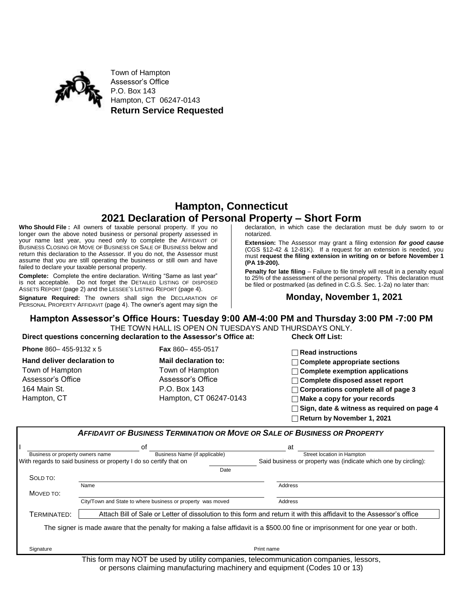

Town of Hampton Assessor's Office P.O. Box 143 Hampton, CT 06247-0143 **Return Service Requested**

## **Hampton, Connecticut 2021 Declaration of Personal Property – Short Form**

**Who Should File :** All owners of taxable personal property. If you no longer own the above noted business or personal property assessed in your name last year, you need only to complete the AFFIDAVIT OF BUSINESS CLOSING OR MOVE OF BUSINESS OR SALE OF BUSINESS below and return this declaration to the Assessor. If you do not, the Assessor must assume that you are still operating the business or still own and have failed to declare your taxable personal property.

**Complete:** Complete the entire declaration. Writing "Same as last year" is not acceptable. Do not forget the DETAILED LISTING OF DISPOSED ASSETS REPORT (page 2) and the LESSEE'S LISTING REPORT (page 4).

**Signature Required:** The owners shall sign the DECLARATION OF PERSONAL PROPERTY AFFIDAVIT (page 4). The owner's agent may sign the declaration, in which case the declaration must be duly sworn to or notarized.

**Extension:** The Assessor may grant a filing extension *for good cause* (CGS §12-42 & 12-81K). If a request for an extension is needed, you must **request the filing extension in writing on or before November 1 (PA 19-200).**

**Penalty for late filing** – Failure to file timely will result in a penalty equal to 25% of the assessment of the personal property. This declaration must be filed or postmarked (as defined in C.G.S. Sec. 1-2a) no later than:

#### **Monday, November 1, 2021**

# **Hampton Assessor's Office Hours: Tuesday 9:00 AM-4:00 PM and Thursday 3:00 PM -7:00 PM**

THE TOWN HALL IS OPEN ON TUESDAYS AND THURSDAYS ONLY. **Direct questions concerning declaration to the Assessor's Office at: Check Off List:**

| Phone 860-455-9132 x 5      | <b>Fax</b> 860-455-0517     | $\Box$ Read instructions                          |
|-----------------------------|-----------------------------|---------------------------------------------------|
| Hand deliver declaration to | <b>Mail declaration to:</b> | $\Box$ Complete appropriate sections              |
| Town of Hampton             | Town of Hampton             | $\Box$ Complete exemption applications            |
| Assessor's Office           | Assessor's Office           | $\Box$ Complete disposed asset report             |
| 164 Main St.                | P.O. Box 143                | $\Box$ Corporations complete all of page 3        |
| Hampton, CT                 | Hampton, CT 06247-0143      | $\Box$ Make a copy for your records               |
|                             |                             | $\Box$ Sign, date & witness as required on page 4 |
|                             |                             | $\Box$ Return by November 1, 2021                 |

|                                  |                                                                   | <b>AFFIDAVIT OF BUSINESS TERMINATION OR MOVE OR SALE OF BUSINESS OR PROPERTY</b>                                                |
|----------------------------------|-------------------------------------------------------------------|---------------------------------------------------------------------------------------------------------------------------------|
|                                  | οf                                                                | at                                                                                                                              |
| Business or property owners name | Business Name (if applicable)                                     | Street location in Hampton                                                                                                      |
|                                  | With regards to said business or property I do so certify that on | Said business or property was (indicate which one by circling):                                                                 |
|                                  |                                                                   | Date                                                                                                                            |
| SOLD TO:                         |                                                                   |                                                                                                                                 |
|                                  | Name                                                              | Address                                                                                                                         |
| MOVED TO:                        |                                                                   |                                                                                                                                 |
|                                  | City/Town and State to where business or property was moved       | Address                                                                                                                         |
| TERMINATED:                      |                                                                   | Attach Bill of Sale or Letter of dissolution to this form and return it with this affidavit to the Assessor's office            |
|                                  |                                                                   | The signer is made aware that the penalty for making a false affidavit is a \$500.00 fine or imprisonment for one year or both. |
|                                  |                                                                   |                                                                                                                                 |
| Signature                        |                                                                   | Print name                                                                                                                      |

This form may NOT be used by utility companies, telecommunication companies, lessors, or persons claiming manufacturing machinery and equipment (Codes 10 or 13)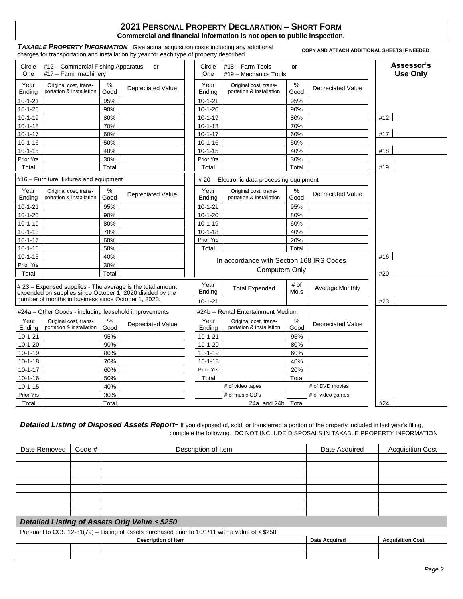#### **2021 PERSONAL PROPERTY DECLARATION – SHORT FORM Commercial and financial information is not open to public inspection.**

*TAXABLE PROPERTY INFORMATION*Give actual acquisition costs including any additional charges for transportation and installation by year for each type of property described.

**COPY AND ATTACH ADDITIONAL SHEETS IF NEEDED** 

| Circle<br>One  | #12 - Commercial Fishing Apparatus<br>#17 - Farm machinery                                                              |           | or                       | Circle<br>One  | #18 - Farm Tools<br>#19 - Mechanics Tools         | or           |                          | Assessor's<br><b>Use Only</b> |
|----------------|-------------------------------------------------------------------------------------------------------------------------|-----------|--------------------------|----------------|---------------------------------------------------|--------------|--------------------------|-------------------------------|
| Year<br>Ending | Original cost, trans-<br>portation & installation                                                                       | %<br>Good | Depreciated Value        | Year<br>Ending | Original cost, trans-<br>portation & installation | $\%$<br>Good | <b>Depreciated Value</b> |                               |
| $10 - 1 - 21$  |                                                                                                                         | 95%       |                          | $10 - 1 - 21$  |                                                   | 95%          |                          |                               |
| $10-1-20$      |                                                                                                                         | 90%       |                          | $10 - 1 - 20$  |                                                   | 90%          |                          |                               |
| $10 - 1 - 19$  |                                                                                                                         | 80%       |                          | $10 - 1 - 19$  |                                                   | 80%          |                          | #12                           |
| $10 - 1 - 18$  |                                                                                                                         | 70%       |                          | $10 - 1 - 18$  |                                                   | 70%          |                          |                               |
| $10 - 1 - 17$  |                                                                                                                         | 60%       |                          | $10 - 1 - 17$  |                                                   | 60%          |                          | #17                           |
| $10 - 1 - 16$  |                                                                                                                         | 50%       |                          | $10 - 1 - 16$  |                                                   | 50%          |                          |                               |
| $10 - 1 - 15$  |                                                                                                                         | 40%       |                          | $10 - 1 - 15$  |                                                   | 40%          |                          | #18                           |
| Prior Yrs      |                                                                                                                         | 30%       |                          | Prior Yrs      |                                                   | 30%          |                          |                               |
| Total          |                                                                                                                         | Total     |                          | Total          |                                                   | Total        |                          | #19                           |
|                | #16 – Furniture, fixtures and equipment                                                                                 |           |                          |                | # 20 -- Electronic data processing equipment      |              |                          |                               |
| Year<br>Ending | Original cost, trans-<br>portation & installation                                                                       | %<br>Good | Depreciated Value        | Year<br>Ending | Original cost, trans-<br>portation & installation | %<br>Good    | <b>Depreciated Value</b> |                               |
| $10 - 1 - 21$  |                                                                                                                         | 95%       |                          | $10 - 1 - 21$  |                                                   | 95%          |                          |                               |
| $10-1-20$      |                                                                                                                         | 90%       |                          | $10-1-20$      |                                                   | 80%          |                          |                               |
| $10 - 1 - 19$  |                                                                                                                         | 80%       |                          | $10 - 1 - 19$  |                                                   | 60%          |                          |                               |
| $10 - 1 - 18$  |                                                                                                                         | 70%       |                          | $10 - 1 - 18$  |                                                   | 40%          |                          |                               |
| $10 - 1 - 17$  |                                                                                                                         | 60%       |                          | Prior Yrs      |                                                   | 20%          |                          |                               |
| $10 - 1 - 16$  |                                                                                                                         | 50%       |                          | Total          |                                                   | Total        |                          |                               |
| $10 - 1 - 15$  |                                                                                                                         | 40%       |                          |                | In accordance with Section 168 IRS Codes          |              |                          | #16                           |
| Prior Yrs      |                                                                                                                         | 30%       |                          |                | <b>Computers Only</b>                             |              |                          |                               |
| Total          |                                                                                                                         | Total     |                          |                |                                                   |              |                          | #20                           |
|                | # 23 - Expensed supplies - The average is the total amount<br>expended on supplies since October 1, 2020 divided by the |           |                          | Year<br>Ending | <b>Total Expended</b>                             | # of<br>Mo.s | Average Monthly          |                               |
|                | number of months in business since October 1, 2020.                                                                     |           |                          | $10 - 1 - 21$  |                                                   |              |                          | #23                           |
|                | #24a – Other Goods - including leasehold improvements                                                                   |           |                          |                | #24b -- Rental Entertainment Medium               |              |                          |                               |
| Year           | Original cost, trans-                                                                                                   | %         | <b>Depreciated Value</b> | Year           | Original cost, trans-                             | %            | <b>Depreciated Value</b> |                               |
| Ending         | portation & installation                                                                                                | Good      |                          | Ending         | portation & installation                          | Good         |                          |                               |
| $10 - 1 - 21$  |                                                                                                                         | 95%       |                          | $10 - 1 - 21$  |                                                   | 95%          |                          |                               |
| $10 - 1 - 20$  |                                                                                                                         | 90%       |                          | $10-1-20$      |                                                   | 80%          |                          |                               |
| $10 - 1 - 19$  |                                                                                                                         | 80%       |                          | $10 - 1 - 19$  |                                                   | 60%          |                          |                               |
| $10-1-18$      |                                                                                                                         | 70%       |                          | $10 - 1 - 18$  |                                                   | 40%          |                          |                               |
| $10 - 1 - 17$  |                                                                                                                         | 60%       |                          | Prior Yrs      |                                                   | 20%          |                          |                               |
| $10 - 1 - 16$  |                                                                                                                         | 50%       |                          | Total          |                                                   | Total        |                          |                               |
| $10 - 1 - 15$  |                                                                                                                         | 40%       |                          |                | # of video tapes                                  |              | # of DVD movies          |                               |
| Prior Yrs      |                                                                                                                         | 30%       |                          |                | # of music CD's                                   |              | # of video games         |                               |
| Total          |                                                                                                                         | Total     |                          |                | 24a and 24b                                       | Total        |                          | #24                           |

**Detailed Listing of Disposed Assets Report-** If you disposed of, sold, or transferred a portion of the property included in last year's filing, complete the following. DO NOT INCLUDE DISPOSALS IN TAXABLE PROPERTY INFORMATION

| Date Removed   Code # | Description of Item | Date Acquired | <b>Acquisition Cost</b> |
|-----------------------|---------------------|---------------|-------------------------|
|                       |                     |               |                         |
|                       |                     |               |                         |
|                       |                     |               |                         |
|                       |                     |               |                         |
|                       |                     |               |                         |
|                       |                     |               |                         |
|                       |                     |               |                         |
|                       |                     |               |                         |
|                       |                     |               |                         |

*Detailed Listing of Assets Orig Value ≤ \$250* 

Pursuant to CGS 12-81(79) – Listing of assets purchased prior to 10/1/11 with a value of ≤ \$250

|  | ™ Item<br>Description<br>◡ | Dat<br>Accuit<br>. | $A - 1 - 1 - 1$ |
|--|----------------------------|--------------------|-----------------|
|  |                            |                    |                 |
|  |                            |                    |                 |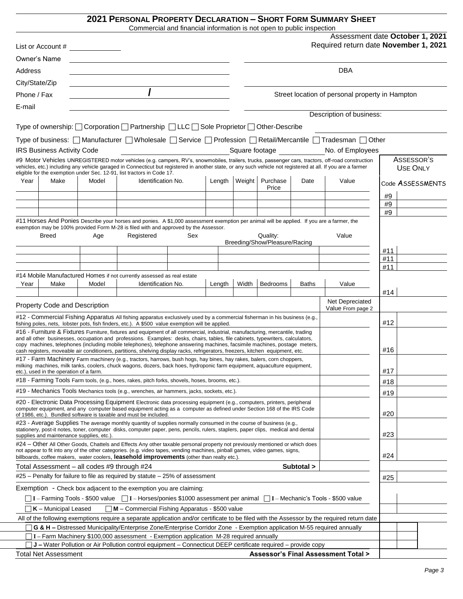### **2021 PERSONAL PROPERTY DECLARATION – SHORT FORM SUMMARY SHEET**

Commercial and financial information is not open to public inspection

|                |                                             |       | Commercial and infancial information is not open to public inspection                                                                                                                                                                                                                                                                                                                           |     |        |       |        |                                      |              |                                                                                                                                                   |     |                                 |
|----------------|---------------------------------------------|-------|-------------------------------------------------------------------------------------------------------------------------------------------------------------------------------------------------------------------------------------------------------------------------------------------------------------------------------------------------------------------------------------------------|-----|--------|-------|--------|--------------------------------------|--------------|---------------------------------------------------------------------------------------------------------------------------------------------------|-----|---------------------------------|
|                |                                             |       |                                                                                                                                                                                                                                                                                                                                                                                                 |     |        |       |        |                                      |              | Required return date November 1, 2021                                                                                                             |     | Assessment date October 1, 2021 |
|                | Owner's Name                                |       |                                                                                                                                                                                                                                                                                                                                                                                                 |     |        |       |        |                                      |              |                                                                                                                                                   |     |                                 |
| Address        |                                             |       |                                                                                                                                                                                                                                                                                                                                                                                                 |     |        |       |        |                                      |              | <b>DBA</b>                                                                                                                                        |     |                                 |
| City/State/Zip |                                             |       | <u> 1980 - Johann Stoff, fransk politik (d. 1980)</u>                                                                                                                                                                                                                                                                                                                                           |     |        |       |        |                                      |              |                                                                                                                                                   |     |                                 |
| Phone / Fax    |                                             |       |                                                                                                                                                                                                                                                                                                                                                                                                 |     |        |       |        |                                      |              | Street location of personal property in Hampton                                                                                                   |     |                                 |
|                |                                             |       |                                                                                                                                                                                                                                                                                                                                                                                                 |     |        |       |        |                                      |              |                                                                                                                                                   |     |                                 |
| E-mail         |                                             |       |                                                                                                                                                                                                                                                                                                                                                                                                 |     |        |       |        |                                      |              | Description of business:                                                                                                                          |     |                                 |
|                |                                             |       | Type of ownership: □ Corporation □ Partnership □ LLC □ Sole Proprietor □ Other-Describe                                                                                                                                                                                                                                                                                                         |     |        |       |        |                                      |              |                                                                                                                                                   |     |                                 |
|                |                                             |       |                                                                                                                                                                                                                                                                                                                                                                                                 |     |        |       |        |                                      |              |                                                                                                                                                   |     |                                 |
|                |                                             |       |                                                                                                                                                                                                                                                                                                                                                                                                 |     |        |       |        |                                      |              | Type of business: [ Manufacturer   Wholesale   Service   Profession   Retail/Mercantile   Tradesman   Other                                       |     |                                 |
|                | IRS Business Activity Code                  |       |                                                                                                                                                                                                                                                                                                                                                                                                 |     |        |       |        | Square footage <b>Square</b> footage |              | No. of Employees                                                                                                                                  |     |                                 |
|                |                                             |       | vehicles, etc.) including any vehicle garaged in Connecticut but registered in another state, or any such vehicle not registered at all. If you are a farmer                                                                                                                                                                                                                                    |     |        |       |        |                                      |              | #9 Motor Vehicles UNREGISTERED motor vehicles (e.g. campers, RV's, snowmobiles, trailers, trucks, passenger cars, tractors, off-road construction |     | ASSESSOR'S                      |
|                |                                             |       | eligible for the exemption under Sec. 12-91, list tractors in Code 17.                                                                                                                                                                                                                                                                                                                          |     |        |       |        |                                      |              |                                                                                                                                                   |     | <b>USE ONLY</b>                 |
| Year           | Make                                        | Model | Identification No.                                                                                                                                                                                                                                                                                                                                                                              |     | Length |       | Weight | Purchase                             | Date         | Value                                                                                                                                             |     | Code ASSESSMENTS                |
|                |                                             |       |                                                                                                                                                                                                                                                                                                                                                                                                 |     |        |       |        | Price                                |              |                                                                                                                                                   | #9  |                                 |
|                |                                             |       |                                                                                                                                                                                                                                                                                                                                                                                                 |     |        |       |        |                                      |              |                                                                                                                                                   | #9  |                                 |
|                |                                             |       |                                                                                                                                                                                                                                                                                                                                                                                                 |     |        |       |        |                                      |              |                                                                                                                                                   | #9  |                                 |
|                |                                             |       | #11 Horses And Ponies Describe your horses and ponies. A \$1,000 assessment exemption per animal will be applied. If you are a farmer, the                                                                                                                                                                                                                                                      |     |        |       |        |                                      |              |                                                                                                                                                   |     |                                 |
|                | <b>Breed</b>                                | Age   | exemption may be 100% provided Form M-28 is filed with and approved by the Assessor.<br>Registered                                                                                                                                                                                                                                                                                              | Sex |        |       |        | Quality:                             |              | Value                                                                                                                                             |     |                                 |
|                |                                             |       |                                                                                                                                                                                                                                                                                                                                                                                                 |     |        |       |        | Breeding/Show/Pleasure/Racing        |              |                                                                                                                                                   |     |                                 |
|                |                                             |       |                                                                                                                                                                                                                                                                                                                                                                                                 |     |        |       |        |                                      |              |                                                                                                                                                   | #11 |                                 |
|                |                                             |       |                                                                                                                                                                                                                                                                                                                                                                                                 |     |        |       |        |                                      |              |                                                                                                                                                   | #11 |                                 |
|                |                                             |       | #14 Mobile Manufactured Homes if not currently assessed as real estate                                                                                                                                                                                                                                                                                                                          |     |        |       |        |                                      |              |                                                                                                                                                   | #11 |                                 |
| Year           | Make                                        | Model | Identification No.                                                                                                                                                                                                                                                                                                                                                                              |     | Length | Width |        | Bedrooms                             | <b>Baths</b> | Value                                                                                                                                             | #14 |                                 |
|                | Property Code and Description               |       |                                                                                                                                                                                                                                                                                                                                                                                                 |     |        |       |        |                                      |              | Net Depreciated                                                                                                                                   |     |                                 |
|                |                                             |       |                                                                                                                                                                                                                                                                                                                                                                                                 |     |        |       |        |                                      |              | Value From page 2                                                                                                                                 |     |                                 |
|                |                                             |       | #12 - Commercial Fishing Apparatus All fishing apparatus exclusively used by a commercial fisherman in his business (e.g.,<br>fishing poles, nets, lobster pots, fish finders, etc.). A \$500 value exemption will be applied.                                                                                                                                                                  |     |        |       |        |                                      |              |                                                                                                                                                   | #12 |                                 |
|                |                                             |       | #16 - Furniture & Fixtures Furniture, fixtures and equipment of all commercial, industrial, manufacturing, mercantile, trading<br>and all other businesses, occupation and professions. Examples: desks, chairs, tables, file cabinets, typewriters, calculators,<br>copy machines, telephones (including mobile telephones), telephone answering machines, facsimile machines, postage meters, |     |        |       |        |                                      |              |                                                                                                                                                   |     |                                 |
|                |                                             |       | cash registers, moveable air conditioners, partitions, shelving display racks, refrigerators, freezers, kitchen equipment, etc.                                                                                                                                                                                                                                                                 |     |        |       |        |                                      |              |                                                                                                                                                   | #16 |                                 |
|                | etc.), used in the operation of a farm.     |       | #17 - Farm Machinery Farm machinery (e.g., tractors, harrows, bush hogs, hay bines, hay rakes, balers, corn choppers,<br>milking machines, milk tanks, coolers, chuck wagons, dozers, back hoes, hydroponic farm equipment, aquaculture equipment,                                                                                                                                              |     |        |       |        |                                      |              |                                                                                                                                                   | #17 |                                 |
|                |                                             |       | #18 - Farming Tools Farm tools, (e.g., hoes, rakes, pitch forks, shovels, hoses, brooms, etc.).                                                                                                                                                                                                                                                                                                 |     |        |       |        |                                      |              |                                                                                                                                                   | #18 |                                 |
|                |                                             |       | #19 - Mechanics Tools Mechanics tools (e.g., wrenches, air hammers, jacks, sockets, etc.).                                                                                                                                                                                                                                                                                                      |     |        |       |        |                                      |              |                                                                                                                                                   | #19 |                                 |
|                |                                             |       | #20 - Electronic Data Processing Equipment Electronic data processing equipment (e.g., computers, printers, peripheral<br>computer equipment, and any computer based equipment acting as a computer as defined under Section 168 of the IRS Code<br>of 1986, etc.). Bundled software is taxable and must be included.                                                                           |     |        |       |        |                                      |              |                                                                                                                                                   | #20 |                                 |
|                | supplies and maintenance supplies, etc.)    |       | #23 - Average Supplies The average monthly quantity of supplies normally consumed in the course of business (e.g.,<br>stationery, post-it notes, toner, computer disks, computer paper, pens, pencils, rulers, staplers, paper clips, medical and dental                                                                                                                                        |     |        |       |        |                                      |              |                                                                                                                                                   | #23 |                                 |
|                |                                             |       | #24 – Other All Other Goods, Chattels and Effects Any other taxable personal property not previously mentioned or which does<br>not appear to fit into any of the other categories. (e.g. video tapes, vending machines, pinball games, video games, signs,<br>billboards, coffee makers, water coolers, leasehold improvements (other than realty etc.).                                       |     |        |       |        |                                      |              |                                                                                                                                                   | #24 |                                 |
|                | Total Assessment - all codes #9 through #24 |       |                                                                                                                                                                                                                                                                                                                                                                                                 |     |        |       |        |                                      | Subtotal >   |                                                                                                                                                   |     |                                 |
|                |                                             |       | $#25$ – Penalty for failure to file as required by statute – 25% of assessment                                                                                                                                                                                                                                                                                                                  |     |        |       |        |                                      |              |                                                                                                                                                   | #25 |                                 |
|                |                                             |       | Exemption - Check box adjacent to the exemption you are claiming:                                                                                                                                                                                                                                                                                                                               |     |        |       |        |                                      |              |                                                                                                                                                   |     |                                 |
|                |                                             |       | □ I – Farming Tools - \$500 value  □ I – Horses/ponies \$1000 assessment per animal  □ I – Mechanic's Tools - \$500 value                                                                                                                                                                                                                                                                       |     |        |       |        |                                      |              |                                                                                                                                                   |     |                                 |
|                | $K$ – Municipal Leased                      |       | $\n  M$ – Commercial Fishing Apparatus - \$500 value                                                                                                                                                                                                                                                                                                                                            |     |        |       |        |                                      |              |                                                                                                                                                   |     |                                 |
|                |                                             |       |                                                                                                                                                                                                                                                                                                                                                                                                 |     |        |       |        |                                      |              | All of the following exemptions require a separate application and/or certificate to be filed with the Assessor by the required return date       |     |                                 |
|                |                                             |       | G & H - Distressed Municipality/Enterprise Zone/Enterprise Corridor Zone - Exemption application M-55 required annually<br>T I - Farm Machinery \$100,000 assessment - Exemption application M-28 required annually                                                                                                                                                                             |     |        |       |        |                                      |              |                                                                                                                                                   |     |                                 |
|                |                                             |       | J J – Water Pollution or Air Pollution control equipment – Connecticut DEEP certificate required – provide copy                                                                                                                                                                                                                                                                                 |     |        |       |        |                                      |              |                                                                                                                                                   |     |                                 |
|                | <b>Total Net Assessment</b>                 |       |                                                                                                                                                                                                                                                                                                                                                                                                 |     |        |       |        |                                      |              | Assessor's Final Assessment Total >                                                                                                               |     |                                 |